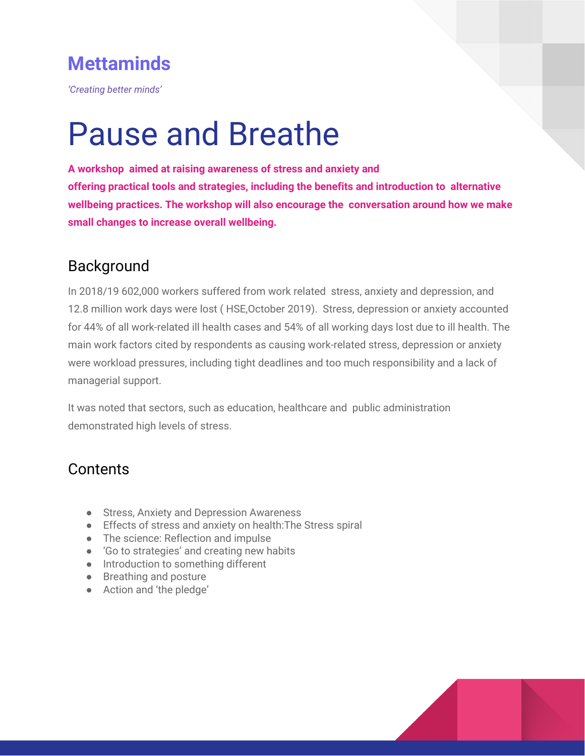# **Mettaminds**

*'Creating better minds'*

# Pause and Breathe

**A workshop aimed at raising awareness of stress and anxiety and offering practical tools and strategies, including the benefits and introduction to alternative wellbeing practices. The workshop will also encourage the conversation around how we make small changes to increase overall wellbeing.**

## Background

In 2018/19 602,000 workers suffered from work related stress, anxiety and depression, and 12.8 million work days were lost ( HSE,October 2019). Stress, depression or anxiety accounted for 44% of all work-related ill health cases and 54% of all working days lost due to ill health. The main work factors cited by respondents as causing work-related stress, depression or anxiety were workload pressures, including tight deadlines and too much responsibility and a lack of managerial support.

It was noted that sectors, such as education, healthcare and public administration demonstrated high levels of stress.

# **Contents**

- Stress, Anxiety and Depression Awareness
- Effects of stress and anxiety on health:The Stress spiral
- The science: Reflection and impulse
- 'Go to strategies' and creating new habits
- Introduction to something different
- Breathing and posture
- Action and 'the pledge'